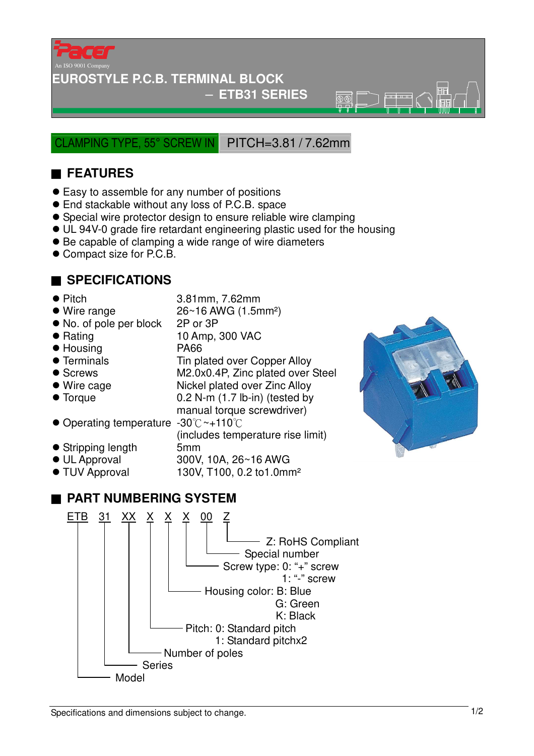

## **EUROSTYLE P.C.B. TERMINAL BLOCK**

### − **ETB31 SERIES**

 $\overline{\mathcal{B}(\mathbb{C})}$ 

CLAMPING TYPE, 55° SCREW IN PITCH=3.81 / 7.62mm

# ■ **FEATURES**

- Easy to assemble for any number of positions
- End stackable without any loss of P.C.B. space
- Special wire protector design to ensure reliable wire clamping
- UL 94V-0 grade fire retardant engineering plastic used for the housing
- Be capable of clamping a wide range of wire diameters
- Compact size for P.C.B.

# ■ **SPECIFICATIONS**

- Pitch 3.81mm, 7.62mm
- $\bullet$  Wire range  $26~16$  AWG (1.5mm<sup>2</sup>)
- No. of pole per block 2P or 3P
- 
- Housing PA66
- 
- 
- 
- 
- Operating temperature -30 °C ~+110 °C
- Stripping length 5mm
- 
- 

# ● Rating 10 Amp, 300 VAC • Terminals Tin plated over Copper Alloy ● Screws M2.0x0.4P, Zinc plated over Steel ● Wire cage Nickel plated over Zinc Alloy ● Torque 0.2 N-m (1.7 lb-in) (tested by manual torque screwdriver) (includes temperature rise limit)

- 
- UL Approval 300V, 10A, 26~16 AWG<br>● TUV Approval 130V, T100, 0.2 to1.0mr
	- 130V, T100, 0.2 to1.0mm<sup>2</sup>

# ■ **PART NUMBERING SYSTEM**